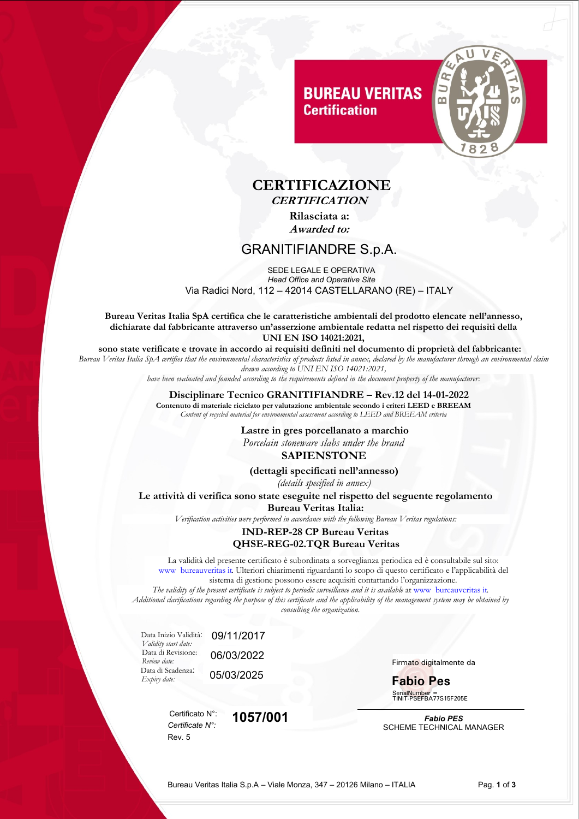# **BUREAU VERITAS Certification**



## **CERTIFICAZIONE CERTIFICATION**

**Rilasciata a: Awarded to:**

## GRANITIFIANDRE S.p.A.

 SEDE LEGALE E OPERATIVA *Head Office and Operative Site* Via Radici Nord, 112 – 42014 CASTELLARANO (RE) – ITALY

**Bureau Veritas Italia SpA certifica che le caratteristiche ambientali del prodotto elencate nell'annesso, dichiarate dal fabbricante attraverso un'asserzione ambientale redatta nel rispetto dei requisiti della UNI EN ISO 14021:2021,**

**sono state verificate e trovate in accordo ai requisiti definiti nel documento di proprietà del fabbricante:**

*Bureau Veritas Italia SpA certifies that the environmental characteristics of products listed in annex, declared by the manufacturer through an environmental claim drawn according to UNI EN ISO 14021:2021,* 

*have been evaluated and founded according to the requirements defined in the document property of the manufacturer:*

### **Disciplinare Tecnico GRANITIFIANDRE – Rev.12 del 14-01-2022**

**Contenuto di materiale riciclato per valutazione ambientale secondo i criteri LEED e BREEAM** *Content of recycled material for environmental assessment according to LEED and BREEAM criteria*

#### **Lastre in gres porcellanato a marchio**

 *Porcelain stoneware slabs under the brand*

### **SAPIENSTONE**

**(dettagli specificati nell'annesso)**

*(details specified in annex)*

**Le attività di verifica sono state eseguite nel rispetto del seguente regolamento Bureau Veritas Italia:**

*Verification activities were performed in accordance with the following Bureau Veritas regulations:*

#### **IND-REP-28 CP Bureau Veritas QHSE-REG-02.TQR Bureau Veritas**

La validità del presente certificato è subordinata a sorveglianza periodica ed è consultabile sul sito: www bureauveritas it. Ulteriori chiarimenti riguardanti lo scopo di questo certificato e l'applicabilità del  sistema di gestione possono essere acquisiti contattando l'organizzazione.

*The validity of the present certificate is subject to periodic surveillance and it is available* at www bureauveritas it. *Additional clarifications regarding the purpose of this certificate and the applicability of the management system may be obtained by consulting the organization.*

 Data Inizio Validità: 09/11/2017 *Validity start date:* Data di Revisione: *Review date:* Data di Scadenza: *Expiry date:*

> Certificato N°: *Certificate N°:* Rev. 5

05/03/2025 06/03/2022

**1057/001**

Firmato digitalmente da

**Fabio Pes** SerialNumber = TINIT-PSEFBA77S15F205E

*Fabio PES* SCHEME TECHNICAL MANAGER

Bureau Veritas Italia S.p.A – Viale Monza, 347 – 20126 Milano – ITALIA Pag. **1** of **3**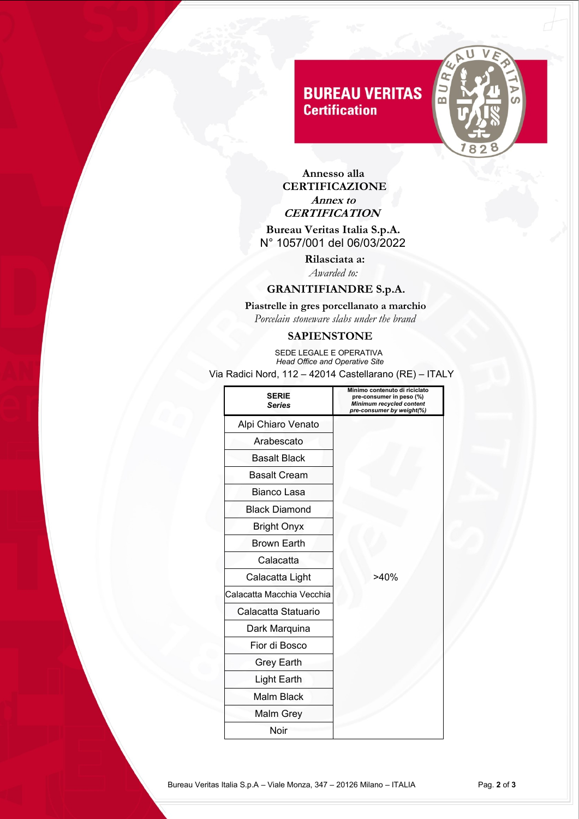# **BUREAU VERITAS Certification**



 **Annesso alla CERTIFICAZIONE Annex to CERTIFICATION**

 **Bureau Veritas Italia S.p.A.** N° 1057/001 del 06/03/2022

> **Rilasciata a:** *Awarded to:*

## **GRANITIFIANDRE S.p.A.**

 **Piastrelle in gres porcellanato a marchio**  *Porcelain stoneware slabs under the brand* 

## **SAPIENSTONE**

 SEDE LEGALE E OPERATIVA  *Head Office and Operative Site* Via Radici Nord, 112 – 42014 Castellarano (RE) – ITALY

| <b>SERIE</b><br><b>Series</b> | Minimo contenuto di riciclato<br>pre-consumer in peso (%)<br>Minimum recycled content<br>pre-consumer by weight(%) |
|-------------------------------|--------------------------------------------------------------------------------------------------------------------|
| Alpi Chiaro Venato            |                                                                                                                    |
| Arabescato                    |                                                                                                                    |
| <b>Basalt Black</b>           |                                                                                                                    |
| <b>Basalt Cream</b>           |                                                                                                                    |
| Bianco Lasa                   |                                                                                                                    |
| <b>Black Diamond</b>          |                                                                                                                    |
| <b>Bright Onyx</b>            |                                                                                                                    |
| <b>Brown Earth</b>            |                                                                                                                    |
| Calacatta                     |                                                                                                                    |
| Calacatta Light               | >40%                                                                                                               |
| Calacatta Macchia Vecchia     |                                                                                                                    |
| Calacatta Statuario           |                                                                                                                    |
| Dark Marquina                 |                                                                                                                    |
| Fior di Bosco                 |                                                                                                                    |
| Grey Earth                    |                                                                                                                    |
| <b>Light Earth</b>            |                                                                                                                    |
| <b>Malm Black</b>             |                                                                                                                    |
| Malm Grey                     |                                                                                                                    |
| Noir                          |                                                                                                                    |